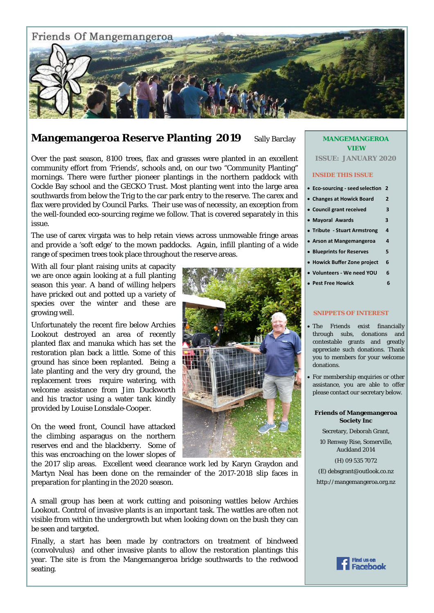

## **Mangemangeroa Reserve Planting 2019** Sally Barclay

Over the past season, 8100 trees, flax and grasses were planted in an excellent community effort from 'Friends', schools and, on our two "Community Planting" mornings. There were further pioneer plantings in the northern paddock with Cockle Bay school and the GECKO Trust. Most planting went into the large area southwards from below the Trig to the car park entry to the reserve. The carex and flax were provided by Council Parks. Their use was of necessity, an exception from the well-founded eco-sourcing regime we follow. That is covered separately in this issue.

The use of carex virgata was to help retain views across unmowable fringe areas and provide a 'soft edge' to the mown paddocks. Again, infill planting of a wide range of specimen trees took place throughout the reserve areas.

With all four plant raising units at capacity we are once again looking at a full planting season this year. A band of willing helpers have pricked out and potted up a variety of species over the winter and these are growing well.

Unfortunately the recent fire below Archies Lookout destroyed an area of recently planted flax and manuka which has set the restoration plan back a little. Some of this ground has since been replanted. Being a late planting and the very dry ground, the replacement trees require watering, with welcome assistance from Jim Duckworth and his tractor using a water tank kindly provided by Louise Lonsdale-Cooper.

On the weed front, Council have attacked the climbing asparagus on the northern reserves end and the blackberry. Some of this was encroaching on the lower slopes of

the 2017 slip areas. Excellent weed clearance work led by Karyn Graydon and Martyn Neal has been done on the remainder of the 2017-2018 slip faces in preparation for planting in the 2020 season.

-<br>A small group has been at work cutting and poisoning wattles below Archies Lookout. Control of invasive plants is an important task. The wattles are often not visible from within the undergrowth but when looking down on the bush they can be seen and targeted.

Finally, a start has been made by contractors on treatment of bindweed (convolvulus) and other invasive plants to allow the restoration plantings this year. The site is from the Mangemangeroa bridge southwards to the redwood seating.

## **MANGEMANGEROA VIEW**

**ISSUE: JANUARY 2020** 

#### **INSIDE THIS ISSUE**

- **Eco‐sourcing ‐ seed selecƟon 2**
- **Changes at Howick Board 2**
- **Council grant received 3**
- **Mayoral Awards 3**
- **Tribute ‐ Stuart Armstrong 4**
- **Arson at Mangemangeroa 4**
- **Blueprints for Reserves 5**
- **Howick Buffer Zone project 6**
- **Volunteers ‐ We need YOU 6**
- **Pest Free Howick 6**

#### **SNIPPETS OF INTEREST**

- The Friends exist financially through subs, donations and contestable grants and greatly appreciate such donations. Thank you to members for your welcome donations.
- For membership enquiries or other assistance, you are able to offer please contact our secretary below.

#### **Friends of Mangemangeroa Society Inc**

Secretary, Deborah Grant,

10 Renway Rise, Somerville, Auckland 2014

#### (H) 09 535 7072

(E) debsgrant@outlook.co.nz

```
http://mangemangeroa.org.nz
```
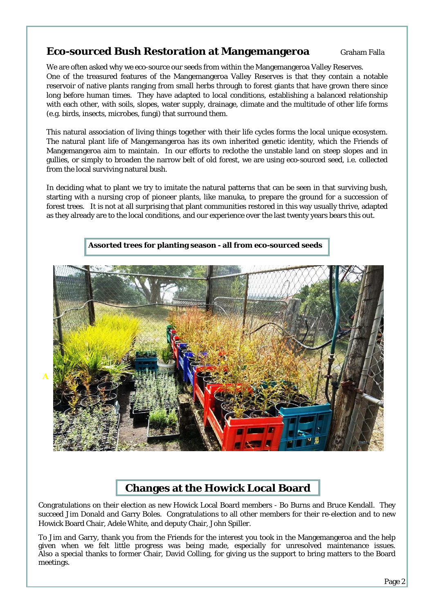## **Eco-sourced Bush Restoration at Mangemangeroa** Graham Falla

We are often asked why we eco-source our seeds from within the Mangemangeroa Valley Reserves. One of the treasured features of the Mangemangeroa Valley Reserves is that they contain a notable reservoir of native plants ranging from small herbs through to forest giants that have grown there since long before human times. They have adapted to local conditions, establishing a balanced relationship with each other, with soils, slopes, water supply, drainage, climate and the multitude of other life forms (e.g. birds, insects, microbes, fungi) that surround them.

This natural association of living things together with their life cycles forms the local unique ecosystem. The natural plant life of Mangemangeroa has its own inherited genetic identity, which the Friends of Mangemangeroa aim to maintain. In our efforts to reclothe the unstable land on steep slopes and in gullies, or simply to broaden the narrow belt of old forest, we are using eco-sourced seed, i.e. collected from the local surviving natural bush.

In deciding what to plant we try to imitate the natural patterns that can be seen in that surviving bush, starting with a nursing crop of pioneer plants, like manuka, to prepare the ground for a succession of forest trees. It is not at all surprising that plant communities restored in this way usually thrive, adapted as they already are to the local conditions, and our experience over the last twenty years bears this out.



# **Changes at the Howick Local Board**

Congratulations on their election as new Howick Local Board members - Bo Burns and Bruce Kendall. They succeed Jim Donald and Garry Boles. Congratulations to all other members for their re-election and to new Howick Board Chair, Adele White, and deputy Chair, John Spiller.

 given when we felt little progress was being made, especially for unresolved maintenance issues. To Jim and Garry, thank you from the Friends for the interest you took in the Mangemangeroa and the help Also a special thanks to former Chair, David Colling, for giving us the support to bring matters to the Board meetings.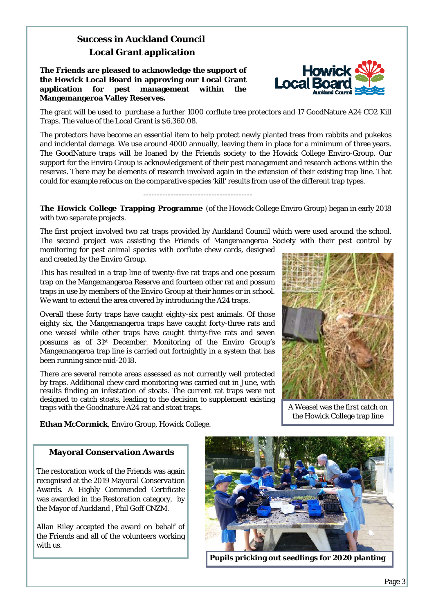# **Success in Auckland Council Local Grant application**

**The Friends are pleased to acknowledge the support of the Howick Local Board in approving our Local Grant application for pest management within the Mangemangeroa Valley Reserves.** 



The grant will be used to purchase a further 1000 corflute tree protectors and 17 GoodNature A24 CO2 Kill Traps. The value of the Local Grant is \$6,360.08.

The protectors have become an essential item to help protect newly planted trees from rabbits and pukekos and incidental damage. We use around 4000 annually, leaving them in place for a minimum of three years. The GoodNature traps will be loaned by the Friends society to the Howick College Enviro-Group. Our support for the Enviro Group is acknowledgement of their pest management and research actions within the reserves. There may be elements of research involved again in the extension of their existing trap line. That could for example refocus on the comparative species 'kill' results from use of the different trap types.

**The Howick College Trapping Programme** (of the Howick College Enviro Group) began in early 2018 with two separate projects.

----------------------------------------

The first project involved two rat traps provided by Auckland Council which were used around the school. The second project was assisting the Friends of Mangemangeroa Society with their pest control by monitoring for pest animal species with corflute chew cards, designed and created by the Enviro Group.

This has resulted in a trap line of twenty-five rat traps and one possum trap on the Mangemangeroa Reserve and fourteen other rat and possum traps in use by members of the Enviro Group at their homes or in school. We want to extend the area covered by introducing the A24 traps.

Overall these forty traps have caught eighty-six pest animals. Of those eighty six, the Mangemangeroa traps have caught forty-three rats and one weasel while other traps have caught thirty-five rats and seven possums as of 31st December. Monitoring of the Enviro Group's Mangemangeroa trap line is carried out fortnightly in a system that has been running since mid-2018.

There are several remote areas assessed as not currently well protected by traps. Additional chew card monitoring was carried out in June, with results finding an infestation of stoats. The current rat traps were not designed to catch stoats, leading to the decision to supplement existing traps with the Goodnature A24 rat and stoat traps.



A Weasel was the first catch on the Howick College trap line

**Ethan McCormick**, Enviro Group, Howick College.

## **Mayoral Conservation Awards**

The restoration work of the Friends was again recognised at the 2019 Ma*yoral Conservation*  Awards. A Highly Commended Certificate was awarded in the Restoration category, by the Mayor of Auckland , Phil Goff CNZM.

Allan Riley accepted the award on behalf of the Friends and all of the volunteers working with us.



**Pupils pricking out seedlings for 2020 planting**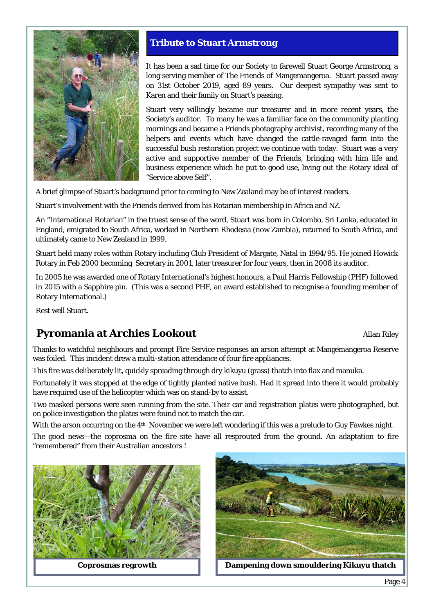

## **Tribute to Stuart Armstrong**

It has been a sad time for our Society to farewell Stuart George Armstrong, a long serving member of The Friends of Mangemangeroa. Stuart passed away on 31st October 2019, aged 89 years. Our deepest sympathy was sent to Karen and their family on Stuart's passing.

Stuart very willingly became our treasurer and in more recent years, the Society's auditor. To many he was a familiar face on the community planting mornings and became a Friends photography archivist, recording many of the helpers and events which have changed the cattle-ravaged farm into the successful bush restoration project we continue with today. Stuart was a very active and supportive member of the Friends, bringing with him life and business experience which he put to good use, living out the Rotary ideal of "Service above Self".

A brief glimpse of Stuart's background prior to coming to New Zealand may be of interest readers.

Stuart's involvement with the Friends derived from his Rotarian membership in Africa and NZ.

An "International Rotarian" in the truest sense of the word, Stuart was born in Colombo, Sri Lanka, educated in England, emigrated to South Africa, worked in Northern Rhodesia (now Zambia), returned to South Africa, and ultimately came to New Zealand in 1999.

Stuart held many roles within Rotary including Club President of Margate, Natal in 1994/95. He joined Howick Rotary in Feb 2000 becoming Secretary in 2001, later treasurer for four years, then in 2008 its auditor.

In 2005 he was awarded one of Rotary International's highest honours, a Paul Harris Fellowship (PHF) followed in 2015 with a Sapphire pin. (This was a second PHF, an award established to recognise a founding member of Rotary International.)

Rest well Stuart.

# **Pyromania at Archies Lookout Allan Riley Allan Riley**

Thanks to watchful neighbours and prompt Fire Service responses an arson attempt at Mangemangeroa Reserve was foiled. This incident drew a multi-station attendance of four fire appliances.

This fire was deliberately lit, quickly spreading through dry kikuyu (grass) thatch into flax and manuka.

Fortunately it was stopped at the edge of tightly planted native bush. Had it spread into there it would probably have required use of the helicopter which was on stand-by to assist.

Two masked persons were seen running from the site. Their car and registration plates were photographed, but on police investigation the plates were found not to match the car.

With the arson occurring on the 4th November we were left wondering if this was a prelude to Guy Fawkes night.

The good news—the coprosma on the fire site have all resprouted from the ground. An adaptation to fire "remembered" from their Australian ancestors !



**Coprosmas regrowth** 



**Dampening down smouldering Kikuyu thatch**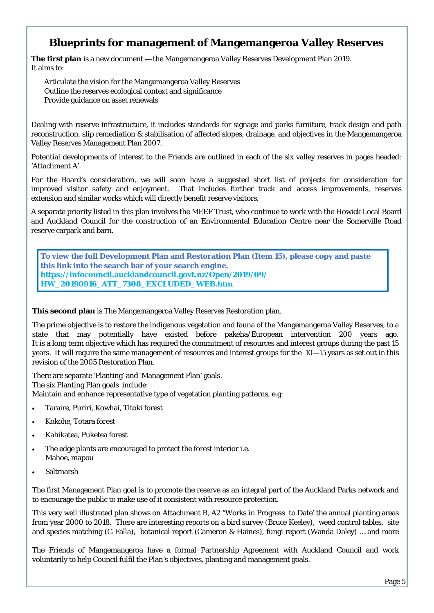## **Blueprints for management of Mangemangeroa Valley Reserves**

**The first plan** is a new document — the Mangemangeroa Valley Reserves Development Plan 2019. It aims to:

Articulate the vision for the Mangemangeroa Valley Reserves Outline the reserves ecological context and significance Provide guidance on asset renewals

Dealing with reserve infrastructure, it includes standards for signage and parks furniture, track design and path reconstruction, slip remediation & stabilisation of affected slopes, drainage, and objectives in the Mangemangeroa Valley Reserves Management Plan 2007.

Potential developments of interest to the Friends are outlined in each of the six valley reserves in pages headed: 'Attachment A'.

For the Board's consideration, we will soon have a suggested short list of projects for consideration for improved visitor safety and enjoyment. That includes further track and access improvements, reserves extension and similar works which will directly benefit reserve visitors.

A separate priority listed in this plan involves the MEEF Trust, who continue to work with the Howick Local Board and Auckland Council for the construction of an Environmental Education Centre near the Somerville Road reserve carpark and barn.

**To view the full Development Plan and Restoration Plan (Item 15), please copy and paste this link into the search bar of your search engine. https://infocouncil.aucklandcouncil.govt.nz/Open/2019/09/ HW\_20190916\_ATT\_7308\_EXCLUDED\_WEB.htm**

**This second plan** is The Mangemangeroa Valley Reserves Restoration plan.

The prime objective is to restore the indigenous vegetation and fauna of the Mangemangeroa Valley Reserves, to a state that may potentially have existed before pakeha/European intervention 200 years ago. It is a long term objective which has required the commitment of resources and interest groups during the past 15 years. It will require the same management of resources and interest groups for the 10—15 years as set out in this revision of the 2005 Restoration Plan.

There are separate 'Planting' and 'Management Plan' goals. The six Planting Plan goals include: Maintain and enhance representative type of vegetation planting patterns, e.g:

- Taraire, Puriri, Kowhai, Titoki forest
- Kokohe, Totara forest
- Kahikatea, Puketea forest
- The edge plants are encouraged to protect the forest interior i.e. Mahoe, mapou
- Saltmarsh

The first Management Plan goal is to promote the reserve as an integral part of the Auckland Parks network and to encourage the public to make use of it consistent with resource protection.

This very well illustrated plan shows on Attachment B, A2 "Works in Progress to Date' the annual planting areas from year 2000 to 2018. There are interesting reports on a bird survey (Bruce Keeley), weed control tables, site and species matching (G Falla), botanical report (Cameron & Haines), fungi report (Wanda Daley) … and more

The Friends of Mangemangeroa have a formal Partnership Agreement with Auckland Council and work voluntarily to help Council fulfil the Plan's objectives, planting and management goals.